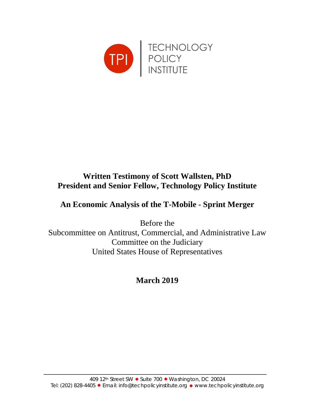

# **Written Testimony of Scott Wallsten, PhD President and Senior Fellow, Technology Policy Institute**

# **An Economic Analysis of the T-Mobile - Sprint Merger**

Before the Subcommittee on Antitrust, Commercial, and Administrative Law Committee on the Judiciary United States House of Representatives

**March 2019**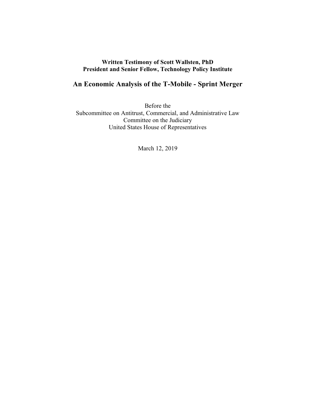### **Written Testimony of Scott Wallsten, PhD President and Senior Fellow, Technology Policy Institute**

# **An Economic Analysis of the T-Mobile - Sprint Merger**

Before the Subcommittee on Antitrust, Commercial, and Administrative Law Committee on the Judiciary United States House of Representatives

March 12, 2019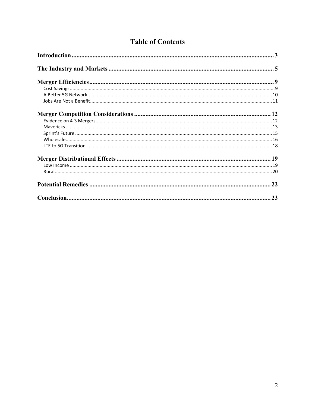|  | <b>Table of Contents</b> |
|--|--------------------------|
|  |                          |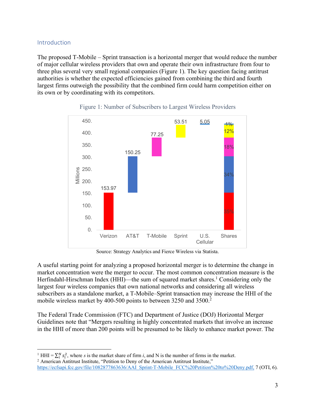# Introduction

The proposed T-Mobile – Sprint transaction is a horizontal merger that would reduce the number of major cellular wireless providers that own and operate their own infrastructure from four to three plus several very small regional companies (Figure 1). The key question facing antitrust authorities is whether the expected efficiencies gained from combining the third and fourth largest firms outweigh the possibility that the combined firm could harm competition either on its own or by coordinating with its competitors.



# Figure 1: Number of Subscribers to Largest Wireless Providers

Source: Strategy Analytics and Fierce Wireless via Statista.

A useful starting point for analyzing a proposed horizontal merger is to determine the change in market concentration were the merger to occur. The most common concentration measure is the Herfindahl-Hirschman Index (HHI)—the sum of squared market shares.<sup>1</sup> Considering only the largest four wireless companies that own national networks and considering all wireless subscribers as a standalone market, a T-Mobile–Sprint transaction may increase the HHI of the mobile wireless market by 400-500 points to between 3250 and 3500.<sup>2</sup>

The Federal Trade Commission (FTC) and Department of Justice (DOJ) Horizontal Merger Guidelines note that "Mergers resulting in highly concentrated markets that involve an increase in the HHI of more than 200 points will be presumed to be likely to enhance market power. The

<sup>&</sup>lt;sup>1</sup> HHI =  $\sum_{i}^{N} s_i^2$ , where *s* is the market share of firm *i*, and N is the number of firms in the market. <sup>2</sup> American Antitrust Institute,"

https://ecfsapi.fcc.gov/file/1082877863636/AAI\_Sprint-T-Mobile\_FCC%20Petition%20to%20Deny.pdf, 7 (OTI, 6).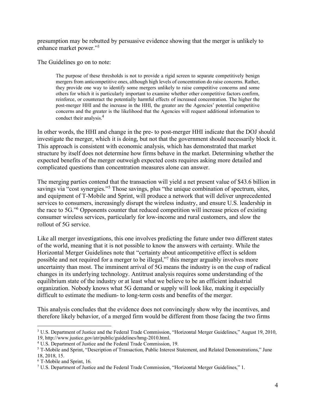presumption may be rebutted by persuasive evidence showing that the merger is unlikely to enhance market power."3

The Guidelines go on to note:

The purpose of these thresholds is not to provide a rigid screen to separate competitively benign mergers from anticompetitive ones, although high levels of concentration do raise concerns. Rather, they provide one way to identify some mergers unlikely to raise competitive concerns and some others for which it is particularly important to examine whether other competitive factors confirm, reinforce, or counteract the potentially harmful effects of increased concentration. The higher the post-merger HHI and the increase in the HHI, the greater are the Agencies' potential competitive concerns and the greater is the likelihood that the Agencies will request additional information to conduct their analysis.4

In other words, the HHI and change in the pre- to post-merger HHI indicate that the DOJ should investigate the merger, which it is doing, but not that the government should necessarily block it. This approach is consistent with economic analysis, which has demonstrated that market structure by itself does not determine how firms behave in the market. Determining whether the expected benefits of the merger outweigh expected costs requires asking more detailed and complicated questions than concentration measures alone can answer.

The merging parties contend that the transaction will yield a net present value of \$43.6 billion in savings via "cost synergies."<sup>5</sup> Those savings, plus "the unique combination of spectrum, sites, and equipment of T-Mobile and Sprint, will produce a network that will deliver unprecedented services to consumers, increasingly disrupt the wireless industry, and ensure U.S. leadership in the race to 5G."6 Opponents counter that reduced competition will increase prices of existing consumer wireless services, particularly for low-income and rural customers, and slow the rollout of 5G service.

Like all merger investigations, this one involves predicting the future under two different states of the world, meaning that it is not possible to know the answers with certainty. While the Horizontal Merger Guidelines note that "certainty about anticompetitive effect is seldom possible and not required for a merger to be illegal,"7 this merger arguably involves more uncertainty than most. The imminent arrival of 5G means the industry is on the cusp of radical changes in its underlying technology. Antitrust analysis requires some understanding of the equilibrium state of the industry or at least what we believe to be an efficient industrial organization. Nobody knows what 5G demand or supply will look like, making it especially difficult to estimate the medium- to long-term costs and benefits of the merger.

This analysis concludes that the evidence does not convincingly show why the incentives, and therefore likely behavior, of a merged firm would be different from those facing the two firms

 <sup>3</sup> U.S. Department of Justice and the Federal Trade Commission, "Horizontal Merger Guidelines," August 19, 2010, 19, http://www.justice.gov/atr/public/guidelines/hmg-2010.html.

<sup>4</sup> U.S. Department of Justice and the Federal Trade Commission, 19.

<sup>5</sup> T-Mobile and Sprint, "Description of Transaction, Public Interest Statement, and Related Demonstrations," June 18, 2018, 15.

<sup>6</sup> T-Mobile and Sprint, 16.

<sup>7</sup> U.S. Department of Justice and the Federal Trade Commission, "Horizontal Merger Guidelines," 1.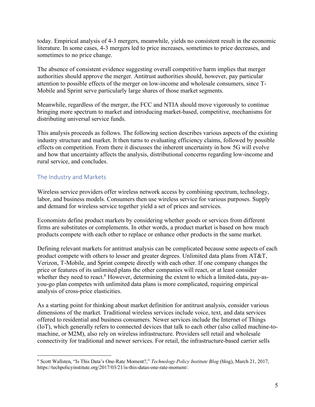today. Empirical analysis of 4-3 mergers, meanwhile, yields no consistent result in the economic literature. In some cases, 4-3 mergers led to price increases, sometimes to price decreases, and sometimes to no price change.

The absence of consistent evidence suggesting overall competitive harm implies that merger authorities should approve the merger. Antitrust authorities should, however, pay particular attention to possible effects of the merger on low-income and wholesale consumers, since T-Mobile and Sprint serve particularly large shares of those market segments.

Meanwhile, regardless of the merger, the FCC and NTIA should move vigorously to continue bringing more spectrum to market and introducing market-based, competitive, mechanisms for distributing universal service funds.

This analysis proceeds as follows. The following section describes various aspects of the existing industry structure and market. It then turns to evaluating efficiency claims, followed by possible effects on competition. From there it discusses the inherent uncertainty in how 5G will evolve and how that uncertainty affects the analysis, distributional concerns regarding low-income and rural service, and concludes.

# The Industry and Markets

Wireless service providers offer wireless network access by combining spectrum, technology, labor, and business models. Consumers then use wireless service for various purposes. Supply and demand for wireless service together yield a set of prices and services.

Economists define product markets by considering whether goods or services from different firms are substitutes or complements. In other words, a product market is based on how much products compete with each other to replace or enhance other products in the same market.

Defining relevant markets for antitrust analysis can be complicated because some aspects of each product compete with others to lesser and greater degrees. Unlimited data plans from AT&T, Verizon, T-Mobile, and Sprint compete directly with each other. If one company changes the price or features of its unlimited plans the other companies will react, or at least consider whether they need to react.<sup>8</sup> However, determining the extent to which a limited-data, pay-asyou-go plan competes with unlimited data plans is more complicated, requiring empirical analysis of cross-price elasticities.

As a starting point for thinking about market definition for antitrust analysis, consider various dimensions of the market. Traditional wireless services include voice, text, and data services offered to residential and business consumers. Newer services include the Internet of Things (IoT), which generally refers to connected devices that talk to each other (also called machine-tomachine, or M2M), also rely on wireless infrastructure. Providers sell retail and wholesale connectivity for traditional and newer services. For retail, the infrastructure-based carrier sells

 <sup>8</sup> Scott Wallsten, "Is This Data's One-Rate Moment?," *Technology Policy Institute Blog* (blog), March 21, 2017, https://techpolicyinstitute.org/2017/03/21/is-this-datas-one-rate-moment/.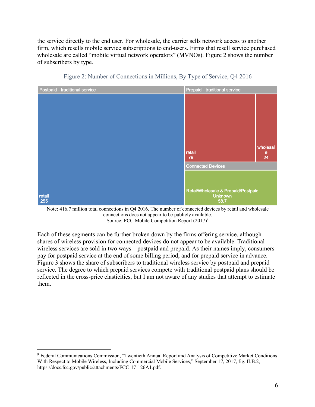the service directly to the end user. For wholesale, the carrier sells network access to another firm, which resells mobile service subscriptions to end-users. Firms that resell service purchased wholesale are called "mobile virtual network operators" (MVNOs). Figure 2 shows the number of subscribers by type.



Figure 2: Number of Connections in Millions, By Type of Service, Q4 2016

Note: 416.7 million total connections in Q4 2016. The number of connected devices by retail and wholesale connections does not appear to be publicly available. Source: FCC Mobile Competition Report (2017)<sup>9</sup>

Each of these segments can be further broken down by the firms offering service, although shares of wireless provision for connected devices do not appear to be available. Traditional wireless services are sold in two ways––postpaid and prepaid. As their names imply, consumers pay for postpaid service at the end of some billing period, and for prepaid service in advance. Figure 3 shows the share of subscribers to traditional wireless service by postpaid and prepaid service. The degree to which prepaid services compete with traditional postpaid plans should be reflected in the cross-price elasticities, but I am not aware of any studies that attempt to estimate them.

 <sup>9</sup> Federal Communications Commission, "Twentieth Annual Report and Analysis of Competitive Market Conditions With Respect to Mobile Wireless, Including Commercial Mobile Services," September 17, 2017, fig. II.B.2, https://docs.fcc.gov/public/attachments/FCC-17-126A1.pdf.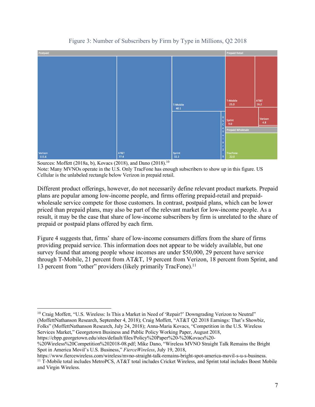

Figure 3: Number of Subscribers by Firm by Type in Millions, Q2 2018

Sources: Moffett (2018a, b), Kovacs (2018), and Dano (2018).<sup>10</sup> Note: Many MVNOs operate in the U.S. Only TracFone has enough subscribers to show up in this figure. US Cellular is the unlabeled rectangle below Verizon in prepaid retail.

Different product offerings, however, do not necessarily define relevant product markets. Prepaid plans are popular among low-income people, and firms offering prepaid-retail and prepaidwholesale service compete for those customers. In contrast, postpaid plans, which can be lower priced than prepaid plans, may also be part of the relevant market for low-income people. As a result, it may be the case that share of low-income subscribers by firm is unrelated to the share of prepaid or postpaid plans offered by each firm.

Figure 4 suggests that, firms' share of low-income consumers differs from the share of firms providing prepaid service. This information does not appear to be widely available, but one survey found that among people whose incomes are under \$50,000, 29 percent have service through T-Mobile, 21 percent from AT&T, 19 percent from Verizon, 18 percent from Sprint, and 13 percent from "other" providers (likely primarily TracFone).<sup>11</sup>

<sup>10</sup> Craig Moffett, "U.S. Wireless: Is This a Market in Need of 'Repair?' Downgrading Verizon to Neutral" (MoffettNathanson Research, September 4, 2018); Craig Moffett, "AT&T Q2 2018 Earnings: That's Showbiz, Folks" (MoffettNathanson Research, July 24, 2018); Anna-Maria Kovacs, "Competition in the U.S. Wireless Services Market," Georgetown Business and Public Policy Working Paper, August 2018, https://cbpp.georgetown.edu/sites/default/files/Policy%20Paper%20-%20Kovacs%20-

%20Wireless%20Competition%202018-08.pdf; Mike Dano, "Wireless MVNO Straight Talk Remains the Bright Spot in America Movil's U.S. Business," *FierceWireless*, July 19, 2018,

https://www.fiercewireless.com/wireless/mvno-straight-talk-remains-bright-spot-america-movil-s-u-s-business. <sup>11</sup> T-Mobile total includes MetroPCS, AT&T total includes Cricket Wireless, and Sprint total includes Boost Mobile and Virgin Wireless.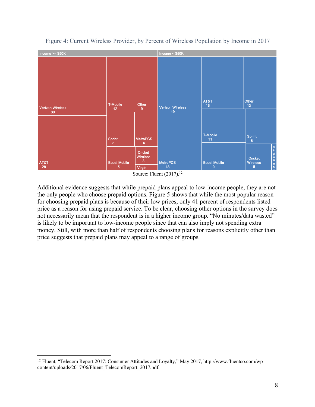

# Figure 4: Current Wireless Provider, by Percent of Wireless Population by Income in 2017

Source: Fluent (2017).<sup>12</sup>

Additional evidence suggests that while prepaid plans appeal to low-income people, they are not the only people who choose prepaid options. Figure 5 shows that while the most popular reason for choosing prepaid plans is because of their low prices, only 41 percent of respondents listed price as a reason for using prepaid service. To be clear, choosing other options in the survey does not necessarily mean that the respondent is in a higher income group. "No minutes/data wasted" is likely to be important to low-income people since that can also imply not spending extra money. Still, with more than half of respondents choosing plans for reasons explicitly other than price suggests that prepaid plans may appeal to a range of groups.

<sup>&</sup>lt;sup>12</sup> Fluent, "Telecom Report 2017: Consumer Attitudes and Loyalty," May 2017, http://www.fluentco.com/wpcontent/uploads/2017/06/Fluent\_TelecomReport\_2017.pdf.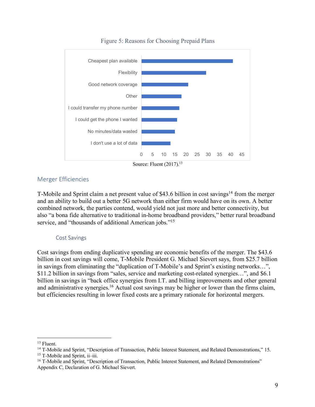

Figure 5: Reasons for Choosing Prepaid Plans

# Merger Efficiencies

T-Mobile and Sprint claim a net present value of \$43.6 billion in cost savings<sup>14</sup> from the merger and an ability to build out a better 5G network than either firm would have on its own. A better combined network, the parties contend, would yield not just more and better connectivity, but also "a bona fide alternative to traditional in-home broadband providers," better rural broadband service, and "thousands of additional American jobs."<sup>15</sup>

#### Cost Savings

Cost savings from ending duplicative spending are economic benefits of the merger. The \$43.6 billion in cost savings will come, T-Mobile President G. Michael Sievert says, from \$25.7 billion in savings from eliminating the "duplication of T-Mobile's and Sprint's existing networks…", \$11.2 billion in savings from "sales, service and marketing cost-related synergies…", and \$6.1 billion in savings in "back office synergies from I.T. and billing improvements and other general and administrative synergies.<sup>16</sup> Actual cost savings may be higher or lower than the firms claim, but efficiencies resulting in lower fixed costs are a primary rationale for horizontal mergers.

 <sup>13</sup> Fluent.

<sup>&</sup>lt;sup>14</sup> T-Mobile and Sprint, "Description of Transaction, Public Interest Statement, and Related Demonstrations," 15. <sup>15</sup> T-Mobile and Sprint, ii–iii.

<sup>&</sup>lt;sup>16</sup> T-Mobile and Sprint, "Description of Transaction, Public Interest Statement, and Related Demonstrations" Appendix C, Declaration of G. Michael Sievert.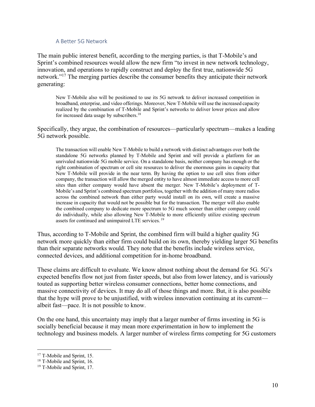#### A Better 5G Network

The main public interest benefit, according to the merging parties, is that T-Mobile's and Sprint's combined resources would allow the new firm "to invest in new network technology, innovation, and operations to rapidly construct and deploy the first true, nationwide 5G network."17 The merging parties describe the consumer benefits they anticipate their network generating:

New T-Mobile also will be positioned to use its 5G network to deliver increased competition in broadband, enterprise, and video offerings. Moreover, New T-Mobile will use the increased capacity realized by the combination of T-Mobile and Sprint's networks to deliver lower prices and allow for increased data usage by subscribers.<sup>18</sup>

Specifically, they argue, the combination of resources—particularly spectrum—makes a leading 5G network possible.

The transaction will enable New T-Mobile to build a network with distinct advantages over both the standalone 5G networks planned by T-Mobile and Sprint and will provide a platform for an unrivaled nationwide 5G mobile service. On a standalone basis, neither company has enough or the right combination of spectrum or cell site resources to deliver the enormous gains in capacity that New T-Mobile will provide in the near term. By having the option to use cell sites from either company, the transaction will allow the merged entity to have almost immediate access to more cell sites than either company would have absent the merger. New T-Mobile's deployment of T-Mobile's and Sprint's combined spectrum portfolios, together with the addition of many more radios across the combined network than either party would install on its own, will create a massive increase in capacity that would not be possible but for the transaction. The merger will also enable the combined company to dedicate more spectrum to 5G much sooner than either company could do individually, while also allowing New T-Mobile to more efficiently utilize existing spectrum assets for continued and unimpaired LTE services.<sup>19</sup>

Thus, according to T-Mobile and Sprint, the combined firm will build a higher quality 5G network more quickly than either firm could build on its own, thereby yielding larger 5G benefits than their separate networks would. They note that the benefits include wireless service, connected devices, and additional competition for in-home broadband.

These claims are difficult to evaluate. We know almost nothing about the demand for 5G. 5G's expected benefits flow not just from faster speeds, but also from lower latency, and is variously touted as supporting better wireless consumer connections, better home connections, and massive connectivity of devices. It may do all of those things and more. But, it is also possible that the hype will prove to be unjustified, with wireless innovation continuing at its current albeit fast—pace. It is not possible to know.

On the one hand, this uncertainty may imply that a larger number of firms investing in 5G is socially beneficial because it may mean more experimentation in how to implement the technology and business models. A larger number of wireless firms competing for 5G customers

<sup>&</sup>lt;sup>17</sup> T-Mobile and Sprint, 15.

<sup>&</sup>lt;sup>18</sup> T-Mobile and Sprint, 16.

<sup>&</sup>lt;sup>19</sup> T-Mobile and Sprint, 17.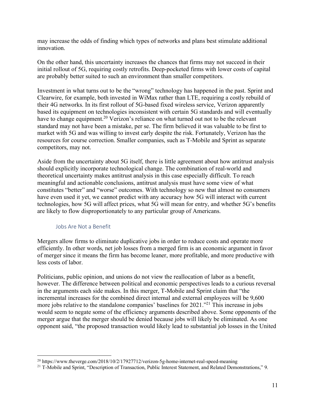may increase the odds of finding which types of networks and plans best stimulate additional innovation.

On the other hand, this uncertainty increases the chances that firms may not succeed in their initial rollout of 5G, requiring costly retrofits. Deep-pocketed firms with lower costs of capital are probably better suited to such an environment than smaller competitors.

Investment in what turns out to be the "wrong" technology has happened in the past. Sprint and Clearwire, for example, both invested in WiMax rather than LTE, requiring a costly rebuild of their 4G networks. In its first rollout of 5G-based fixed wireless service, Verizon apparently based its equipment on technologies inconsistent with certain 5G standards and will eventually have to change equipment.<sup>20</sup> Verizon's reliance on what turned out not to be the relevant standard may not have been a mistake, per se. The firm believed it was valuable to be first to market with 5G and was willing to invest early despite the risk. Fortunately, Verizon has the resources for course correction. Smaller companies, such as T-Mobile and Sprint as separate competitors, may not.

Aside from the uncertainty about 5G itself, there is little agreement about how antitrust analysis should explicitly incorporate technological change. The combination of real-world and theoretical uncertainty makes antitrust analysis in this case especially difficult. To reach meaningful and actionable conclusions, antitrust analysis must have some view of what constitutes "better" and "worse" outcomes. With technology so new that almost no consumers have even used it yet, we cannot predict with any accuracy how 5G will interact with current technologies, how 5G will affect prices, what 5G will mean for entry, and whether 5G's benefits are likely to flow disproportionately to any particular group of Americans.

#### Jobs Are Not a Benefit

Mergers allow firms to eliminate duplicative jobs in order to reduce costs and operate more efficiently. In other words, net job losses from a merged firm is an economic argument in favor of merger since it means the firm has become leaner, more profitable, and more productive with less costs of labor.

Politicians, public opinion, and unions do not view the reallocation of labor as a benefit, however. The difference between political and economic perspectives leads to a curious reversal in the arguments each side makes. In this merger, T-Mobile and Sprint claim that "the incremental increases for the combined direct internal and external employees will be 9,600 more jobs relative to the standalone companies' baselines for 2021.<sup>"21</sup> This increase in jobs would seem to negate some of the efficiency arguments described above. Some opponents of the merger argue that the merger should be denied because jobs will likely be eliminated. As one opponent said, "the proposed transaction would likely lead to substantial job losses in the United

<sup>&</sup>lt;sup>20</sup> https://www.theverge.com/2018/10/2/17927712/verizon-5g-home-internet-real-speed-meaning

<sup>&</sup>lt;sup>21</sup> T-Mobile and Sprint, "Description of Transaction, Public Interest Statement, and Related Demonstrations," 9.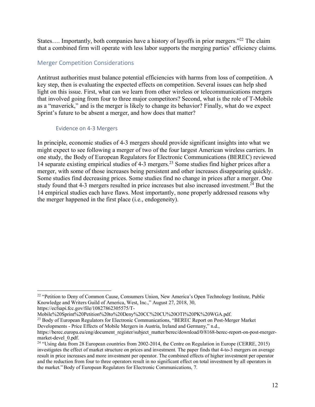States.... Importantly, both companies have a history of layoffs in prior mergers."<sup>22</sup> The claim that a combined firm will operate with less labor supports the merging parties' efficiency claims.

# Merger Competition Considerations

Antitrust authorities must balance potential efficiencies with harms from loss of competition. A key step, then is evaluating the expected effects on competition. Several issues can help shed light on this issue. First, what can we learn from other wireless or telecommunications mergers that involved going from four to three major competitors? Second, what is the role of T-Mobile as a "maverick," and is the merger is likely to change its behavior? Finally, what do we expect Sprint's future to be absent a merger, and how does that matter?

### Evidence on 4-3 Mergers

In principle, economic studies of 4-3 mergers should provide significant insights into what we might expect to see following a merger of two of the four largest American wireless carriers. In one study, the Body of European Regulators for Electronic Communications (BEREC) reviewed 14 separate existing empirical studies of 4-3 mergers.23 Some studies find higher prices after a merger, with some of those increases being persistent and other increases disappearing quickly. Some studies find decreasing prices. Some studies find no change in prices after a merger. One study found that 4-3 mergers resulted in price increases but also increased investment.<sup>24</sup> But the 14 empirical studies each have flaws. Most importantly, none properly addressed reasons why the merger happened in the first place (i.e., endogeneity).

https://ecfsapi.fcc.gov/file/10827862305575/T-

<sup>&</sup>lt;sup>22</sup> "Petition to Deny of Common Cause, Consumers Union, New America's Open Technology Institute, Public Knowledge and Writers Guild of America, West, Inc.," August 27, 2018, 30,

Mobile%20Sprint%20Petition%20to%20Deny%20CC%20CU%20OTI%20PK%20WGA.pdf.

<sup>&</sup>lt;sup>23</sup> Body of European Regulators for Electronic Communications, "BEREC Report on Post-Merger Market Developments - Price Effects of Mobile Mergers in Austria, Ireland and Germany," n.d.,

https://berec.europa.eu/eng/document\_register/subject\_matter/berec/download/0/8168-berec-report-on-post-mergermarket-devel\_0.pdf.

<sup>&</sup>lt;sup>24</sup> "Using data from 28 European countries from 2002-2014, the Centre on Regulation in Europe (CERRE, 2015) investigates the effect of market structure on prices and investment. The paper finds that 4-to-3 mergers on average result in price increases and more investment per operator. The combined effects of higher investment per operator and the reduction from four to three operators result in no significant effect on total investment by all operators in the market."Body of European Regulators for Electronic Communications, 7.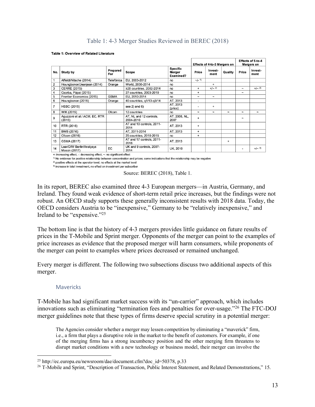# Table 1: 4-3 Merger Studies Reviewed in BEREC (2018)

|                |                                          |                 |                                      |                                        | Effects of 4-to-3 Mergers on |                 |            | Effects of 5-to-4<br>Mergers on |                 |
|----------------|------------------------------------------|-----------------|--------------------------------------|----------------------------------------|------------------------------|-----------------|------------|---------------------------------|-----------------|
| No.            | Study by                                 | Prepared<br>For | Scope                                | <b>Specific</b><br>Merger<br>Examined? | Price                        | Invest-<br>ment | Quality    | Price                           | Invest-<br>ment |
|                | Affeldt/Nitsche (2014)                   | Telefónica      | EU, 2003-2012                        | no                                     | $-/-1$                       |                 |            |                                 |                 |
| $\overline{2}$ | Houngbonon/Jeanjean (2014)               | Orange          | World, 2000-2014                     | no                                     |                              | +               |            |                                 |                 |
| 3              | <b>CERRE (2015)</b>                      |                 | ≥28 countries, 2002-2014             | no                                     | $\ddot{}$                    | $+/- 2$         |            | $\tilde{\phantom{a}}$           | $+/- 2$         |
| 4              | Csorba, Pápai (2015)                     |                 | 27 countries, 2003-2010              | no                                     | $+$                          |                 |            | $\tilde{}$                      |                 |
| 5              | Frontier Economics (2015)                | <b>GSMA</b>     | EU, 2010-2014                        | no                                     | $\tilde{}$                   | $\tilde{}$      |            |                                 |                 |
| 6              | Houngbonon (2015)                        | Orange          | 40 countries, q1/13-q3/14            | AT, 2013                               | $\blacksquare$               |                 |            |                                 |                 |
| $\overline{7}$ | <b>HSBC (2015)</b>                       |                 | see $2)$ and $6)$                    | AT. 2013<br>(price)                    |                              | ÷               |            |                                 |                 |
| 8              | WIK (2015)                               | Ofcom           | 12 countries                         | no                                     | $\tilde{}$                   | $\tilde{}$      | $\tilde{}$ | $\tilde{\phantom{a}}$           | $\tilde{}$      |
| 9              | Aguzzoni et al / ACM, EC, RTR<br>(2015)  |                 | AT, NL and 12 controls.<br>2004-2010 | AT. 2006. NL.<br>2007                  | $\ddot{}$                    |                 |            | $\tilde{}$                      |                 |
| 10             | RTR (2016)                               |                 | AT and 10 controls, 2011-<br>2014    | AT. 2013                               | $\ddot{}$                    |                 |            |                                 |                 |
| 11             | BWB (2016)                               |                 | AT. 2011-2014                        | AT, 2013                               | $\ddot{}$                    |                 |            |                                 |                 |
| 12             | Ofcom (2016)                             |                 | 25 countries, 2010-2015              | no                                     | $\ddot{}$                    |                 |            |                                 |                 |
| 13             | GSMA (2017)                              |                 | AT and 17 controls, 2011-<br>2016    | AT, 2013                               |                              |                 | $\ddot{}$  |                                 |                 |
| 14             | Lear/DIW Berlin/Analysys<br>Mason (2017) | EC              | UK and 9 controls, 2007-<br>2014     | <b>UK. 2010</b>                        |                              |                 |            | ٠                               | $+/-3$          |

#### Table 1: Overview of Related Literature

+: increasing effect, -: decreasing effect, ~: no significant effect

<sup>1)</sup> No evidence for positive relationship between concentration and prices; some indications that the relationship may be negative

<sup>2)</sup> positive effects at the operator-level, no effects at the market level

3) increase in total investment, no effect on investment per subscriber

Source: BEREC (2018), Table 1.

In its report, BEREC also examined three 4-3 European mergers—in Austria, Germany, and Ireland. They found weak evidence of short-term retail price increases, but the findings were not robust. An OECD study supports these generally inconsistent results with 2018 data. Today, the OECD considers Austria to be "inexpensive," Germany to be "relatively inexpensive," and Ireland to be "expensive."25

The bottom line is that the history of 4-3 mergers provides little guidance on future results of prices in the T-Mobile and Sprint merger. Opponents of the merger can point to the examples of price increases as evidence that the proposed merger will harm consumers, while proponents of the merger can point to examples where prices decreased or remained unchanged.

Every merger is different. The following two subsections discuss two additional aspects of this merger.

#### **Mavericks**

T-Mobile has had significant market success with its "un-carrier" approach, which includes innovations such as eliminating "termination fees and penalties for over-usage."26 The FTC-DOJ merger guidelines note that these types of firms deserve special scrutiny in a potential merger:

The Agencies consider whether a merger may lessen competition by eliminating a "maverick" firm, i.e., a firm that plays a disruptive role in the market to the benefit of customers. For example, if one of the merging firms has a strong incumbency position and the other merging firm threatens to disrupt market conditions with a new technology or business model, their merger can involve the

<sup>&</sup>lt;sup>25</sup> http://ec.europa.eu/newsroom/dae/document.cfm?doc\_id=50378, p.33

<sup>&</sup>lt;sup>26</sup> T-Mobile and Sprint, "Description of Transaction, Public Interest Statement, and Related Demonstrations," 15.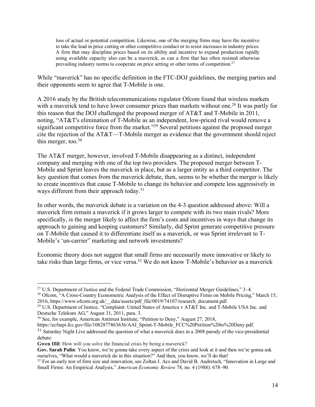loss of actual or potential competition. Likewise, one of the merging firms may have the incentive to take the lead in price cutting or other competitive conduct or to resist increases in industry prices. A firm that may discipline prices based on its ability and incentive to expand production rapidly using available capacity also can be a maverick, as can a firm that has often resisted otherwise prevailing industry norms to cooperate on price setting or other terms of competition.<sup>27</sup>

While "maverick" has no specific definition in the FTC-DOJ guidelines, the merging parties and their opponents seem to agree that T-Mobile is one.

A 2016 study by the British telecommunications regulator Ofcom found that wireless markets with a maverick tend to have lower consumer prices than markets without one.<sup>28</sup> It was partly for this reason that the DOJ challenged the proposed merger of AT&T and T-Mobile in 2011, noting, "AT&T's elimination of T-Mobile as an independent, low-priced rival would remove a significant competitive force from the market."<sup>29</sup> Several petitions against the proposed merger cite the rejection of the AT&T––T-Mobile merger as evidence that the government should reject this merger, too. $30$ 

The AT&T merger, however, involved T-Mobile disappearing as a distinct, independent company and merging with one of the top two providers. The proposed merger between T-Mobile and Sprint leaves the maverick in place, but as a larger entity as a third competitor. The key question that comes from the maverick debate, then, seems to be whether the merger is likely to create incentives that cause T-Mobile to change its behavior and compete less aggressively in ways different from their approach today.<sup>31</sup>

In other words, the maverick debate is a variation on the 4-3 question addressed above: Will a maverick firm remain a maverick if it grows larger to compete with its two main rivals? More specifically, is the merger likely to affect the firm's costs and incentives in ways that change its approach to gaining and keeping customers? Similarly, did Sprint generate competitive pressure on T-Mobile that caused it to differentiate itself as a maverick, or was Sprint irrelevant to T-Mobile's 'un-carrier" marketing and network investments?

Economic theory does not suggest that small firms are necessarily more innovative or likely to take risks than large firms, or vice versa. <sup>32</sup> We do not know T-Mobile's behavior as a maverick

<sup>&</sup>lt;sup>27</sup> U.S. Department of Justice and the Federal Trade Commission, "Horizontal Merger Guidelines," 3–4.

<sup>&</sup>lt;sup>28</sup> Ofcom, "A Cross-Country Econometric Analysis of the Effect of Disruptive Firms on Mobile Pricing," March 15, 2016, https://www.ofcom.org.uk/ data/assets/pdf file/0019/74107/research\_document.pdf.

<sup>&</sup>lt;sup>29</sup> U.S. Department of Justice, "Complaint: United States of America v AT&T Inc. and T-Mobile USA Inc. and Deutsche Telekom AG," August 31, 2011, para. 3.

<sup>30</sup> See, for example, American Antitrust Institute, "Petition to Deny," August 27, 2018,

https://ecfsapi.fcc.gov/file/1082877863636/AAI\_Sprint-T-Mobile\_FCC%20Petition%20to%20Deny.pdf.

<sup>&</sup>lt;sup>31</sup> Saturday Night Live addressed the question of what a maverick does in a 2008 parody of the vice-presidential debate:

**Gwen Ifill:** How will you solve the financial crisis by being a maverick?

**Gov. Sarah Palin**: You know, we're gonna take every aspect of the crisis and look at it and then we're gonna ask ourselves, "What would a maverick do in this situation?" And then, you know, we'll do that!

<sup>&</sup>lt;sup>32</sup> For an early test of firm size and innovation, see Zoltan J. Acs and David B. Audretsch, "Innovation in Large and Small Firms: An Empirical Analysis," *American Economic Review* 78, no. 4 (1988): 678–90.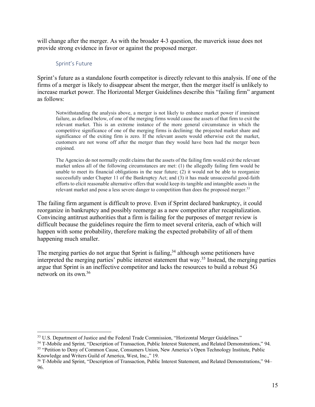will change after the merger. As with the broader 4-3 question, the maverick issue does not provide strong evidence in favor or against the proposed merger.

## Sprint's Future

Sprint's future as a standalone fourth competitor is directly relevant to this analysis. If one of the firms of a merger is likely to disappear absent the merger, then the merger itself is unlikely to increase market power. The Horizontal Merger Guidelines describe this "failing firm" argument as follows:

Notwithstanding the analysis above, a merger is not likely to enhance market power if imminent failure, as defined below, of one of the merging firms would cause the assets of that firm to exit the relevant market. This is an extreme instance of the more general circumstance in which the competitive significance of one of the merging firms is declining: the projected market share and significance of the exiting firm is zero. If the relevant assets would otherwise exit the market, customers are not worse off after the merger than they would have been had the merger been enjoined.

The Agencies do not normally credit claims that the assets of the failing firm would exit the relevant market unless all of the following circumstances are met: (1) the allegedly failing firm would be unable to meet its financial obligations in the near future; (2) it would not be able to reorganize successfully under Chapter 11 of the Bankruptcy Act; and (3) it has made unsuccessful good-faith efforts to elicit reasonable alternative offers that would keep its tangible and intangible assets in the relevant market and pose a less severe danger to competition than does the proposed merger.<sup>33</sup>

The failing firm argument is difficult to prove. Even if Sprint declared bankruptcy, it could reorganize in bankruptcy and possibly reemerge as a new competitor after recapitalization. Convincing antitrust authorities that a firm is failing for the purposes of merger review is difficult because the guidelines require the firm to meet several criteria, each of which will happen with some probability, therefore making the expected probability of all of them happening much smaller.

The merging parties do not argue that Sprint is failing,<sup>34</sup> although some petitioners have interpreted the merging parties' public interest statement that way.35 Instead, the merging parties argue that Sprint is an ineffective competitor and lacks the resources to build a robust 5G network on its own.36

<sup>&</sup>lt;sup>33</sup> U.S. Department of Justice and the Federal Trade Commission, "Horizontal Merger Guidelines."

<sup>34</sup> T-Mobile and Sprint, "Description of Transaction, Public Interest Statement, and Related Demonstrations," 94. <sup>35</sup> "Petition to Deny of Common Cause, Consumers Union, New America's Open Technology Institute, Public Knowledge and Writers Guild of America, West, Inc.," 19.

<sup>&</sup>lt;sup>36</sup> T-Mobile and Sprint, "Description of Transaction, Public Interest Statement, and Related Demonstrations," 94– 96.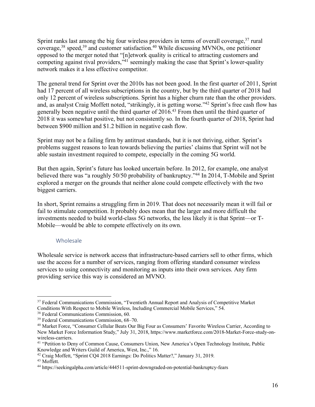Sprint ranks last among the big four wireless providers in terms of overall coverage,<sup>37</sup> rural coverage,38 speed,39 and customer satisfaction.40 While discussing MVNOs, one petitioner opposed to the merger noted that "[n]etwork quality is critical to attracting customers and competing against rival providers,<sup>341</sup> seemingly making the case that Sprint's lower-quality network makes it a less effective competitor.

The general trend for Sprint over the 2010s has not been good. In the first quarter of 2011, Sprint had 17 percent of all wireless subscriptions in the country, but by the third quarter of 2018 had only 12 percent of wireless subscriptions. Sprint has a higher churn rate than the other providers. and, as analyst Craig Moffett noted, "strikingly, it is getting worse."42 Sprint's free cash flow has generally been negative until the third quarter of 2016.43 From then until the third quarter of 2018 it was somewhat positive, but not consistently so. In the fourth quarter of 2018, Sprint had between \$900 million and \$1.2 billion in negative cash flow.

Sprint may not be a failing firm by antitrust standards, but it is not thriving, either. Sprint's problems suggest reasons to lean towards believing the parties' claims that Sprint will not be able sustain investment required to compete, especially in the coming 5G world.

But then again, Sprint's future has looked uncertain before. In 2012, for example, one analyst believed there was "a roughly 50/50 probability of bankruptcy."<sup>44</sup> In 2014, T-Mobile and Sprint explored a merger on the grounds that neither alone could compete effectively with the two biggest carriers.

In short, Sprint remains a struggling firm in 2019. That does not necessarily mean it will fail or fail to stimulate competition. It probably does mean that the larger and more difficult the investments needed to build world-class 5G networks, the less likely it is that Sprint—or T-Mobile—would be able to compete effectively on its own.

#### Wholesale

Wholesale service is network access that infrastructure-based carriers sell to other firms, which use the access for a number of services, ranging from offering standard consumer wireless services to using connectivity and monitoring as inputs into their own services. Any firm providing service this way is considered an MVNO.

<sup>&</sup>lt;sup>37</sup> Federal Communications Commission, "Twentieth Annual Report and Analysis of Competitive Market Conditions With Respect to Mobile Wireless, Including Commercial Mobile Services," 54.

<sup>38</sup> Federal Communications Commission, 60.

<sup>39</sup> Federal Communications Commission, 68–70.

<sup>40</sup> Market Force, "Consumer Cellular Beats Our Big Four as Consumers' Favorite Wireless Carrier, According to New Market Force Information Study," July 31, 2018, https://www.marketforce.com/2018-Market-Force-study-onwireless-carriers.

<sup>41</sup> "Petition to Deny of Common Cause, Consumers Union, New America's Open Technology Institute, Public Knowledge and Writers Guild of America, West, Inc.," 16.

<sup>42</sup> Craig Moffett, "Sprint CQ4 2018 Earnings: Do Politics Matter?," January 31, 2019.

<sup>43</sup> Moffett.

<sup>44</sup> https://seekingalpha.com/article/444511-sprint-downgraded-on-potential-bankruptcy-fears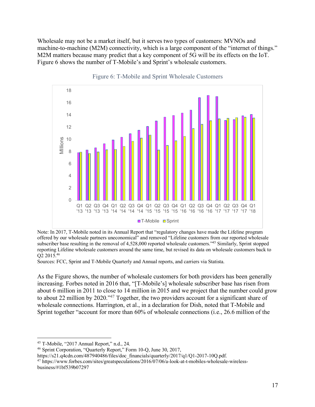Wholesale may not be a market itself, but it serves two types of customers: MVNOs and machine-to-machine (M2M) connectivity, which is a large component of the "internet of things." M2M matters because many predict that a key component of 5G will be its effects on the IoT. Figure 6 shows the number of T-Mobile's and Sprint's wholesale customers.



Figure 6: T-Mobile and Sprint Wholesale Customers

Note: In 2017, T-Mobile noted in its Annual Report that "regulatory changes have made the Lifeline program offered by our wholesale partners uneconomical" and removed "Lifeline customers from our reported wholesale subscriber base resulting in the removal of 4,528,000 reported wholesale customers."<sup>45</sup> Similarly, Sprint stopped reporting Lifeline wholesale customers around the same time, but revised its data on wholesale customers back to Q2 2015.46

Sources: FCC, Sprint and T-Mobile Quarterly and Annual reports, and carriers via Statista.

As the Figure shows, the number of wholesale customers for both providers has been generally increasing. Forbes noted in 2016 that, "[T-Mobile's] wholesale subscriber base has risen from about 6 million in 2011 to close to 14 million in 2015 and we project that the number could grow to about 22 million by 2020."<sup>47</sup> Together, the two providers account for a significant share of wholesale connections. Harrington, et al., in a declaration for Dish, noted that T-Mobile and Sprint together "account for more than 60% of wholesale connections (i.e., 26.6 million of the

 <sup>45</sup> T-Mobile, "2017 Annual Report," n.d., 24.

<sup>46</sup> Sprint Corporation, "Quarterly Report," Form 10-Q, June 30, 2017,

https://s21.q4cdn.com/487940486/files/doc\_financials/quarterly/2017/q1/Q1-2017-10Q.pdf.

<sup>47</sup> https://www.forbes.com/sites/greatspeculations/2016/07/06/a-look-at-t-mobiles-wholesale-wirelessbusiness/#1bf539b07297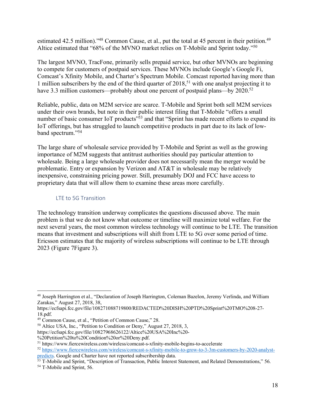estimated 42.5 million)."<sup>48</sup> Common Cause, et al., put the total at 45 percent in their petition.<sup>49</sup> Altice estimated that "68% of the MVNO market relies on T-Mobile and Sprint today."50

The largest MVNO, TracFone, primarily sells prepaid service, but other MVNOs are beginning to compete for customers of postpaid services. These MVNOs include Google's Google Fi, Comcast's Xfinity Mobile, and Charter's Spectrum Mobile. Comcast reported having more than 1 million subscribers by the end of the third quarter of  $2018$ ,<sup>51</sup> with one analyst projecting it to have 3.3 million customers—probably about one percent of postpaid plans—by 2020.<sup>52</sup>

Reliable, public, data on M2M service are scarce. T-Mobile and Sprint both sell M2M services under their own brands, but note in their public interest filing that T-Mobile "offers a small number of basic consumer IoT products<sup>"53</sup> and that "Sprint has made recent efforts to expand its IoT offerings, but has struggled to launch competitive products in part due to its lack of lowband spectrum."54

The large share of wholesale service provided by T-Mobile and Sprint as well as the growing importance of M2M suggests that antitrust authorities should pay particular attention to wholesale. Being a large wholesale provider does not necessarily mean the merger would be problematic. Entry or expansion by Verizon and AT&T in wholesale may be relatively inexpensive, constraining pricing power. Still, presumably DOJ and FCC have access to proprietary data that will allow them to examine these areas more carefully.

### LTE to 5G Transition

The technology transition underway complicates the questions discussed above. The main problem is that we do not know what outcome or timeline will maximize total welfare. For the next several years, the most common wireless technology will continue to be LTE. The transition means that investment and subscriptions will shift from LTE to 5G over some period of time. Ericsson estimates that the majority of wireless subscriptions will continue to be LTE through 2023 (Figure 7Figure 3).

<sup>50</sup> Altice USA, Inc., "Petition to Condition or Deny," August 27, 2018, 3,

 <sup>48</sup> Joseph Harrington et al., "Declaration of Joseph Harrington, Coleman Bazelon, Jeremy Verlinda, and William Zarakas," August 27, 2018, 38,

https://ecfsapi.fcc.gov/file/108271088719800/REDACTED%20DISH%20PTD%20Sprint%20TMO%208-27- 18.pdf.<br><sup>49</sup> Common Cause, et al., "Petition of Common Cause," 28.

https://ecfsapi.fcc.gov/file/10827968626122/Altice%20USA%20Inc%20-

<sup>%20</sup>Petition%20to%20Condition%20or%20Deny.pdf.

<sup>51</sup> https://www.fiercewireless.com/wireless/comcast-s-xfinity-mobile-begins-to-accelerate

<sup>52</sup> https://www.fiercewireless.com/wireless/comcast-s-xfinity-mobile-to-grow-to-3-3m-customers-by-2020-analystpredicts. Google and Charter have not reported subscribership data.

<sup>&</sup>lt;sup>53</sup> T-Mobile and Sprint, "Description of Transaction, Public Interest Statement, and Related Demonstrations," 56.

<sup>54</sup> T-Mobile and Sprint, 56.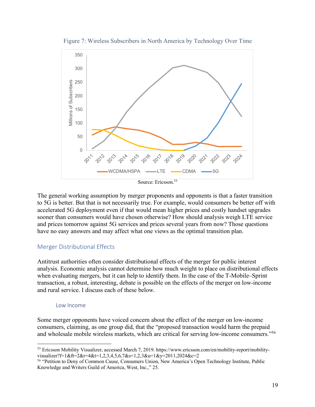

Figure 7: Wireless Subscribers in North America by Technology Over Time

The general working assumption by merger proponents and opponents is that a faster transition to 5G is better. But that is not necessarily true. For example, would consumers be better off with accelerated 5G deployment even if that would mean higher prices and costly handset upgrades sooner than consumers would have chosen otherwise? How should analysis weigh LTE service and prices tomorrow against 5G services and prices several years from now? Those questions have no easy answers and may affect what one views as the optimal transition plan.

#### Merger Distributional Effects

Antitrust authorities often consider distributional effects of the merger for public interest analysis. Economic analysis cannot determine how much weight to place on distributional effects when evaluating mergers, but it can help to identify them. In the case of the T-Mobile–Sprint transaction, a robust, interesting, debate is possible on the effects of the merger on low-income and rural service. I discuss each of these below.

#### Low Income

Some merger opponents have voiced concern about the effect of the merger on low-income consumers, claiming, as one group did, that the "proposed transaction would harm the prepaid and wholesale mobile wireless markets, which are critical for serving low-income consumers."56

 <sup>55</sup> Ericsson Mobility Visualizer, accessed March 7, 2019. https://www.ericsson.com/en/mobility-report/mobilityvisualizer?f=1&ft=2&r=4&t=1,2,3,4,5,6,7&s=1,2,3&u=1&y=2011,2024&c=2

<sup>56</sup> "Petition to Deny of Common Cause, Consumers Union, New America's Open Technology Institute, Public Knowledge and Writers Guild of America, West, Inc.," 25.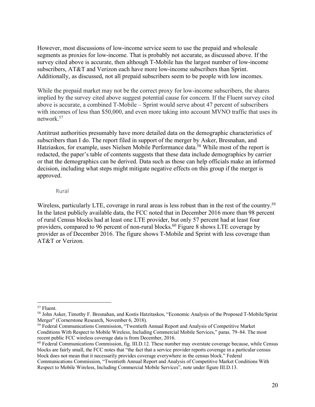However, most discussions of low-income service seem to use the prepaid and wholesale segments as proxies for low-income. That is probably not accurate, as discussed above. If the survey cited above is accurate, then although T-Mobile has the largest number of low-income subscribers, AT&T and Verizon each have more low-income subscribers than Sprint. Additionally, as discussed, not all prepaid subscribers seem to be people with low incomes.

While the prepaid market may not be the correct proxy for low-income subscribers, the shares implied by the survey cited above suggest potential cause for concern. If the Fluent survey cited above is accurate, a combined T-Mobile – Sprint would serve about 47 percent of subscribers with incomes of less than \$50,000, and even more taking into account MVNO traffic that uses its network. 57

Antitrust authorities presumably have more detailed data on the demographic characteristics of subscribers than I do. The report filed in support of the merger by Asker, Bresnahan, and Hatziaskos, for example, uses Nielsen Mobile Performance data.<sup>58</sup> While most of the report is redacted, the paper's table of contents suggests that these data include demographics by carrier or that the demographics can be derived. Data such as those can help officials make an informed decision, including what steps might mitigate negative effects on this group if the merger is approved.

#### Rural

Wireless, particularly LTE, coverage in rural areas is less robust than in the rest of the country.<sup>59</sup> In the latest publicly available data, the FCC noted that in December 2016 more than 98 percent of rural Census blocks had at least one LTE provider, but only 57 percent had at least four providers, compared to 96 percent of non-rural blocks.<sup>60</sup> Figure 8 shows LTE coverage by provider as of December 2016. The figure shows T-Mobile and Sprint with less coverage than AT&T or Verizon.

 <sup>57</sup> Fluent.

<sup>58</sup> John Asker, Timothy F. Bresnahan, and Kostis Hatzitaskos, "Economic Analysis of the Proposed T-Mobile/Sprint Merger" (Cornerstone Research, November 6, 2018).

<sup>59</sup> Federal Communications Commission, "Twentieth Annual Report and Analysis of Competitive Market Conditions With Respect to Mobile Wireless, Including Commercial Mobile Services," paras. 79–84. The most recent public FCC wireless coverage data is from December, 2016.

<sup>&</sup>lt;sup>60</sup> Federal Communications Commission, fig. III.D.12. These number may overstate coverage because, while Census blocks are fairly small, the FCC notes that "the fact that a service provider reports coverage in a particular census block does not mean that it necessarily provides coverage everywhere in the census block." Federal

Communications Commission, "Twentieth Annual Report and Analysis of Competitive Market Conditions With Respect to Mobile Wireless, Including Commercial Mobile Services", note under figure III.D.13.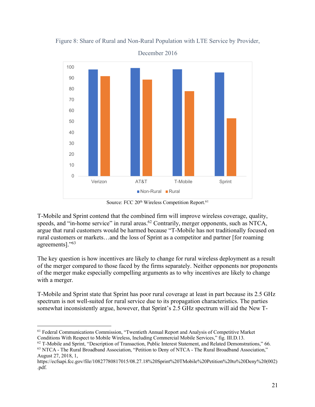

Figure 8: Share of Rural and Non-Rural Population with LTE Service by Provider,

December 2016

Source: FCC 20<sup>th</sup> Wireless Competition Report.<sup>61</sup>

T-Mobile and Sprint contend that the combined firm will improve wireless coverage, quality, speeds, and "in-home service" in rural areas.<sup>62</sup> Contrarily, merger opponents, such as NTCA, argue that rural customers would be harmed because "T-Mobile has not traditionally focused on rural customers or markets…and the loss of Sprint as a competitor and partner [for roaming agreements]."63

The key question is how incentives are likely to change for rural wireless deployment as a result of the merger compared to those faced by the firms separately. Neither opponents nor proponents of the merger make especially compelling arguments as to why incentives are likely to change with a merger.

T-Mobile and Sprint state that Sprint has poor rural coverage at least in part because its 2.5 GHz spectrum is not well-suited for rural service due to its propagation characteristics. The parties somewhat inconsistently argue, however, that Sprint's 2.5 GHz spectrum will aid the New T-

 <sup>61</sup> Federal Communications Commission, "Twentieth Annual Report and Analysis of Competitive Market Conditions With Respect to Mobile Wireless, Including Commercial Mobile Services," fig. III.D.13.

<sup>62</sup> T-Mobile and Sprint, "Description of Transaction, Public Interest Statement, and Related Demonstrations," 66.

<sup>63</sup> NTCA - The Rural Broadband Association, "Petition to Deny of NTCA - The Rural Broadband Association," August 27, 2018, 1,

https://ecfsapi.fcc.gov/file/10827780817015/08.27.18%20Sprint%20TMobile%20Petition%20to%20Deny%20(002) .pdf.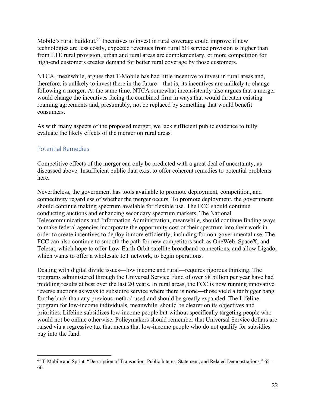Mobile's rural buildout.<sup>64</sup> Incentives to invest in rural coverage could improve if new technologies are less costly, expected revenues from rural 5G service provision is higher than from LTE rural provision, urban and rural areas are complementary, or more competition for high-end customers creates demand for better rural coverage by those customers.

NTCA, meanwhile, argues that T-Mobile has had little incentive to invest in rural areas and, therefore, is unlikely to invest there in the future—that is, its incentives are unlikely to change following a merger. At the same time, NTCA somewhat inconsistently also argues that a merger would change the incentives facing the combined firm in ways that would threaten existing roaming agreements and, presumably, not be replaced by something that would benefit consumers.

As with many aspects of the proposed merger, we lack sufficient public evidence to fully evaluate the likely effects of the merger on rural areas.

# Potential Remedies

Competitive effects of the merger can only be predicted with a great deal of uncertainty, as discussed above. Insufficient public data exist to offer coherent remedies to potential problems here.

Nevertheless, the government has tools available to promote deployment, competition, and connectivity regardless of whether the merger occurs. To promote deployment, the government should continue making spectrum available for flexible use. The FCC should continue conducting auctions and enhancing secondary spectrum markets. The National Telecommunications and Information Administration, meanwhile, should continue finding ways to make federal agencies incorporate the opportunity cost of their spectrum into their work in order to create incentives to deploy it more efficiently, including for non-governmental use. The FCC can also continue to smooth the path for new competitors such as OneWeb, SpaceX, and Telesat, which hope to offer Low-Earth Orbit satellite broadband connections, and allow Ligado, which wants to offer a wholesale IoT network, to begin operations.

Dealing with digital divide issues—low income and rural—requires rigorous thinking. The programs administered through the Universal Service Fund of over \$8 billion per year have had middling results at best over the last 20 years. In rural areas, the FCC is now running innovative reverse auctions as ways to subsidize service where there is none—those yield a far bigger bang for the buck than any previous method used and should be greatly expanded. The Lifeline program for low-income individuals, meanwhile, should be clearer on its objectives and priorities. Lifeline subsidizes low-income people but without specifically targeting people who would not be online otherwise. Policymakers should remember that Universal Service dollars are raised via a regressive tax that means that low-income people who do not qualify for subsidies pay into the fund.

 <sup>64</sup> T-Mobile and Sprint, "Description of Transaction, Public Interest Statement, and Related Demonstrations," 65– 66.